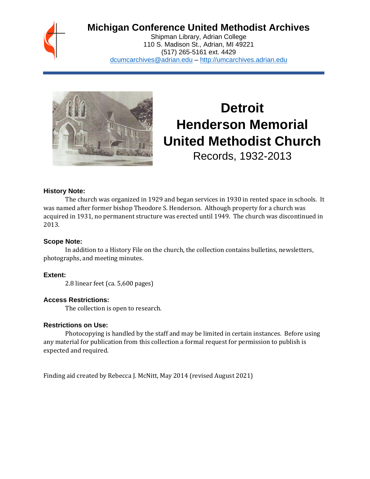

# **Michigan Conference United Methodist Archives**

Shipman Library, Adrian College 110 S. Madison St., Adrian, MI 49221 (517) 265-5161 ext. 4429 [dcumcarchives@adrian.edu](mailto:dcumcarchives@adrian.edu) – [http://umcarchives.adrian.edu](http://umcarchives.adrian.edu/)



# **Detroit Henderson Memorial United Methodist Church**

Records, 1932-2013

#### **History Note:**

The church was organized in 1929 and began services in 1930 in rented space in schools. It was named after former bishop Theodore S. Henderson. Although property for a church was acquired in 1931, no permanent structure was erected until 1949. The church was discontinued in 2013.

#### **Scope Note:**

In addition to a History File on the church, the collection contains bulletins, newsletters, photographs, and meeting minutes.

#### **Extent:**

2.8 linear feet (ca. 5,600 pages)

#### **Access Restrictions:**

The collection is open to research.

#### **Restrictions on Use:**

Photocopying is handled by the staff and may be limited in certain instances. Before using any material for publication from this collection a formal request for permission to publish is expected and required.

Finding aid created by Rebecca J. McNitt, May 2014 (revised August 2021)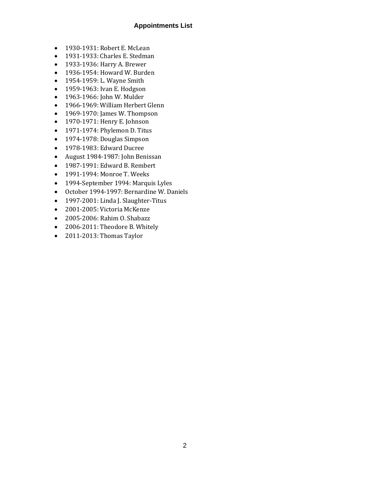### **Appointments List**

- 1930-1931: Robert E. McLean
- 1931-1933: Charles E. Stedman
- 1933-1936: Harry A. Brewer
- 1936-1954: Howard W. Burden
- 1954-1959: L. Wayne Smith
- 1959-1963: Ivan E. Hodgson
- 1963-1966: John W. Mulder
- 1966-1969: William Herbert Glenn
- 1969-1970: James W. Thompson
- 1970-1971: Henry E. Johnson
- 1971-1974: Phylemon D. Titus
- 1974-1978: Douglas Simpson
- 1978-1983: Edward Ducree
- August 1984-1987: John Benissan
- 1987-1991: Edward B. Rembert
- 1991-1994: Monroe T. Weeks
- 1994-September 1994: Marquis Lyles
- October 1994-1997: Bernardine W. Daniels
- 1997-2001: Linda J. Slaughter-Titus
- 2001-2005: Victoria McKenze
- 2005-2006: Rahim O. Shabazz
- 2006-2011: Theodore B. Whitely
- 2011-2013: Thomas Taylor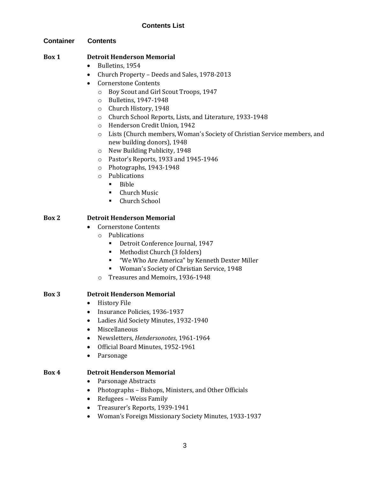# **Contents List**

#### **Container Contents**

#### **Box 1 Detroit Henderson Memorial**

- Bulletins, 1954
- Church Property Deeds and Sales, 1978-2013
- Cornerstone Contents
	- o Boy Scout and Girl Scout Troops, 1947
	- o Bulletins, 1947-1948
	- o Church History, 1948
	- o Church School Reports, Lists, and Literature, 1933-1948
	- o Henderson Credit Union, 1942
	- o Lists (Church members, Woman's Society of Christian Service members, and new building donors), 1948
	- o New Building Publicity, 1948
	- o Pastor's Reports, 1933 and 1945-1946
	- o Photographs, 1943-1948
	- o Publications
		- Bible
		- Church Music
		- Church School

#### **Box 2 Detroit Henderson Memorial**

- Cornerstone Contents
	- o Publications
		- Detroit Conference Journal, 1947
		- Methodist Church (3 folders)
		- "We Who Are America" by Kenneth Dexter Miller
		- Woman's Society of Christian Service, 1948
	- o Treasures and Memoirs, 1936-1948

#### **Box 3 Detroit Henderson Memorial**

- History File
- Insurance Policies, 1936-1937
- Ladies Aid Society Minutes, 1932-1940
- Miscellaneous
- Newsletters, *Hendersonotes*, 1961-1964
- Official Board Minutes, 1952-1961
- Parsonage

#### **Box 4 Detroit Henderson Memorial**

- Parsonage Abstracts
- Photographs Bishops, Ministers, and Other Officials
- Refugees Weiss Family
- Treasurer's Reports, 1939-1941
- Woman's Foreign Missionary Society Minutes, 1933-1937